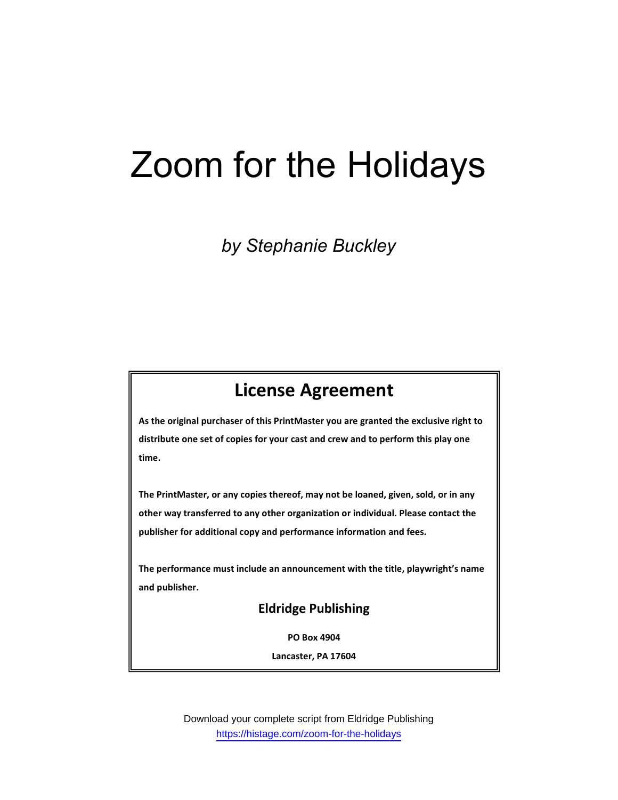# Zoom for the Holidays

by Stephanie Buckley

# License Agreement

As the original purchaser of this PrintMaster you are granted the exclusive right to distribute one set of copies for your cast and crew and to perform this play one time.

The PrintMaster, or any copies thereof, may not be loaned, given, sold, or in any other way transferred to any other organization or individual. Please contact the publisher for additional copy and performance information and fees.

The performance must include an announcement with the title, playwright's name and publisher.

## Eldridge Publishing

PO Box 4904

Lancaster, PA 17604

Download your complete script from Eldridge Publishing https://histage.com/zoom-for-the-holidays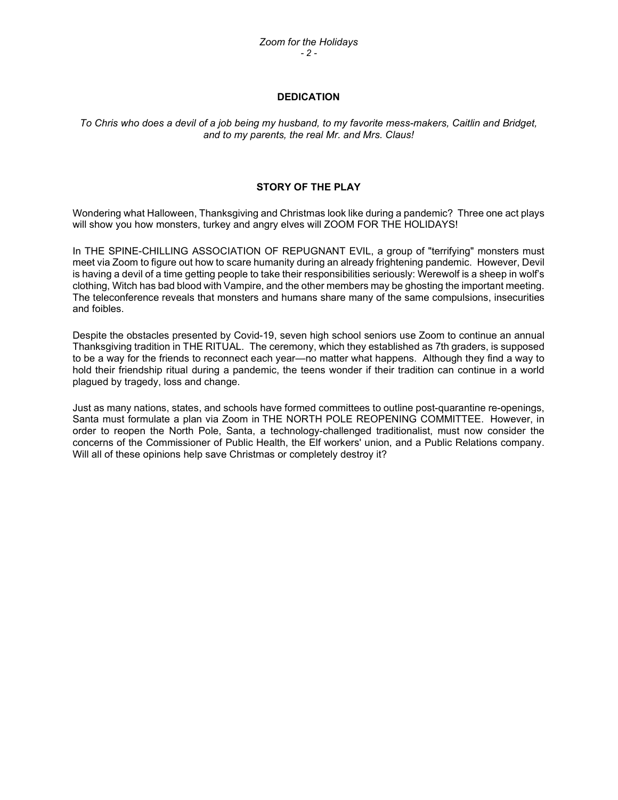#### **DEDICATION**

To Chris who does a devil of a job being my husband, to my favorite mess-makers, Caitlin and Bridget, and to my parents, the real Mr. and Mrs. Claus!

#### STORY OF THE PLAY

Wondering what Halloween, Thanksgiving and Christmas look like during a pandemic? Three one act plays will show you how monsters, turkey and angry elves will ZOOM FOR THE HOLIDAYS!

In THE SPINE-CHILLING ASSOCIATION OF REPUGNANT EVIL, a group of "terrifying" monsters must meet via Zoom to figure out how to scare humanity during an already frightening pandemic. However, Devil is having a devil of a time getting people to take their responsibilities seriously: Werewolf is a sheep in wolf's clothing, Witch has bad blood with Vampire, and the other members may be ghosting the important meeting. The teleconference reveals that monsters and humans share many of the same compulsions, insecurities and foibles.

Despite the obstacles presented by Covid-19, seven high school seniors use Zoom to continue an annual Thanksgiving tradition in THE RITUAL. The ceremony, which they established as 7th graders, is supposed to be a way for the friends to reconnect each year—no matter what happens. Although they find a way to hold their friendship ritual during a pandemic, the teens wonder if their tradition can continue in a world plagued by tragedy, loss and change.

Just as many nations, states, and schools have formed committees to outline post-quarantine re-openings, Santa must formulate a plan via Zoom in THE NORTH POLE REOPENING COMMITTEE. However, in order to reopen the North Pole, Santa, a technology-challenged traditionalist, must now consider the concerns of the Commissioner of Public Health, the Elf workers' union, and a Public Relations company. Will all of these opinions help save Christmas or completely destroy it?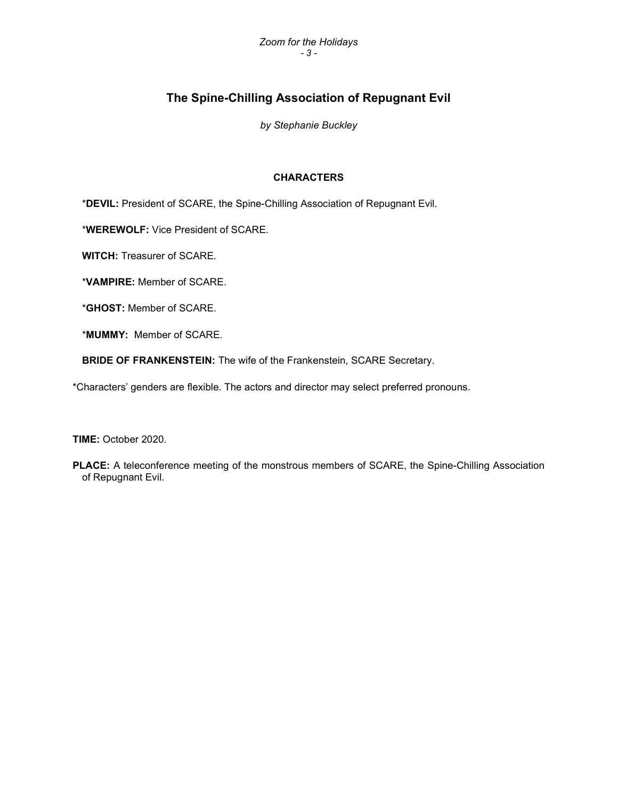# The Spine-Chilling Association of Repugnant Evil

by Stephanie Buckley

#### CHARACTERS

\*DEVIL: President of SCARE, the Spine-Chilling Association of Repugnant Evil.

\*WEREWOLF: Vice President of SCARE.

WITCH: Treasurer of SCARE.

\*VAMPIRE: Member of SCARE.

\*GHOST: Member of SCARE.

\*MUMMY: Member of SCARE.

BRIDE OF FRANKENSTEIN: The wife of the Frankenstein, SCARE Secretary.

\*Characters' genders are flexible. The actors and director may select preferred pronouns.

TIME: October 2020.

PLACE: A teleconference meeting of the monstrous members of SCARE, the Spine-Chilling Association of Repugnant Evil.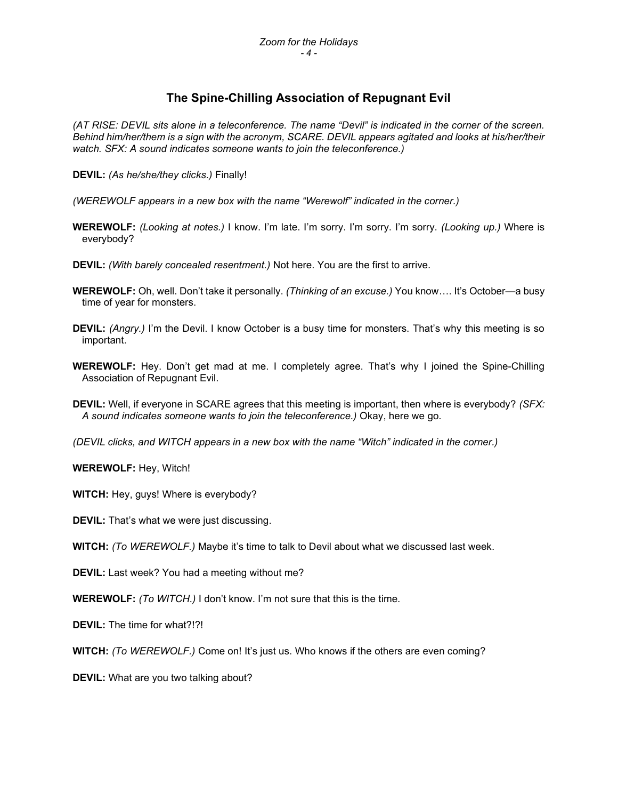# The Spine-Chilling Association of Repugnant Evil

(AT RISE: DEVIL sits alone in a teleconference. The name "Devil" is indicated in the corner of the screen. Behind him/her/them is a sign with the acronym, SCARE. DEVIL appears agitated and looks at his/her/their watch. SFX: A sound indicates someone wants to join the teleconference.)

DEVIL: (As he/she/they clicks.) Finally!

- (WEREWOLF appears in a new box with the name "Werewolf" indicated in the corner.)
- WEREWOLF: (Looking at notes.) I know. I'm late. I'm sorry. I'm sorry. I'm sorry. (Looking up.) Where is everybody?
- DEVIL: (With barely concealed resentment.) Not here. You are the first to arrive.
- WEREWOLF: Oh, well. Don't take it personally. (Thinking of an excuse.) You know.... It's October—a busy time of year for monsters.
- DEVIL: (Angry.) I'm the Devil. I know October is a busy time for monsters. That's why this meeting is so important.
- WEREWOLF: Hey. Don't get mad at me. I completely agree. That's why I joined the Spine-Chilling Association of Repugnant Evil.
- DEVIL: Well, if everyone in SCARE agrees that this meeting is important, then where is everybody? (SFX: A sound indicates someone wants to join the teleconference.) Okay, here we go.
- (DEVIL clicks, and WITCH appears in a new box with the name "Witch" indicated in the corner.)

WEREWOLF: Hey, Witch!

- WITCH: Hey, guys! Where is everybody?
- DEVIL: That's what we were just discussing.
- WITCH: (To WEREWOLF.) Maybe it's time to talk to Devil about what we discussed last week.

DEVIL: Last week? You had a meeting without me?

WEREWOLF: (To WITCH.) I don't know. I'm not sure that this is the time.

DEVIL: The time for what?!?!

WITCH: (To WEREWOLF.) Come on! It's just us. Who knows if the others are even coming?

DEVIL: What are you two talking about?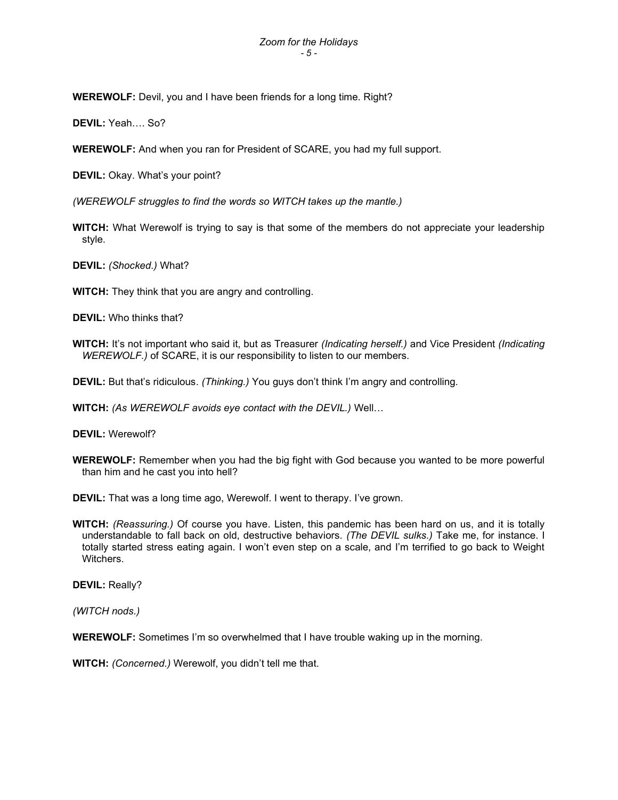WEREWOLF: Devil, you and I have been friends for a long time. Right?

DEVIL: Yeah…. So?

WEREWOLF: And when you ran for President of SCARE, you had my full support.

DEVIL: Okay. What's your point?

(WEREWOLF struggles to find the words so WITCH takes up the mantle.)

WITCH: What Werewolf is trying to say is that some of the members do not appreciate your leadership style.

DEVIL: (Shocked.) What?

WITCH: They think that you are angry and controlling.

DEVIL: Who thinks that?

WITCH: It's not important who said it, but as Treasurer (Indicating herself.) and Vice President (Indicating WEREWOLF.) of SCARE, it is our responsibility to listen to our members.

DEVIL: But that's ridiculous. (Thinking.) You guys don't think I'm angry and controlling.

WITCH: (As WEREWOLF avoids eye contact with the DEVIL.) Well...

DEVIL: Werewolf?

WEREWOLF: Remember when you had the big fight with God because you wanted to be more powerful than him and he cast you into hell?

DEVIL: That was a long time ago, Werewolf. I went to therapy. I've grown.

WITCH: (Reassuring.) Of course you have. Listen, this pandemic has been hard on us, and it is totally understandable to fall back on old, destructive behaviors. (The DEVIL sulks.) Take me, for instance. I totally started stress eating again. I won't even step on a scale, and I'm terrified to go back to Weight **Witchers** 

DEVIL: Really?

(WITCH nods.)

WEREWOLF: Sometimes I'm so overwhelmed that I have trouble waking up in the morning.

WITCH: *(Concerned.)* Werewolf, you didn't tell me that.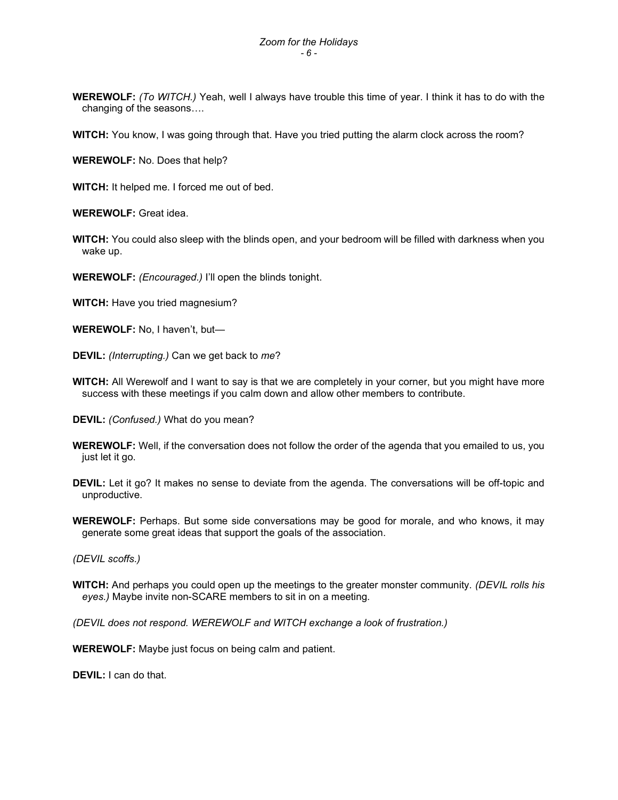WEREWOLF: (To WITCH.) Yeah, well I always have trouble this time of year. I think it has to do with the changing of the seasons….

WITCH: You know, I was going through that. Have you tried putting the alarm clock across the room?

WEREWOLF: No. Does that help?

WITCH: It helped me. I forced me out of bed.

WEREWOLF: Great idea.

WITCH: You could also sleep with the blinds open, and your bedroom will be filled with darkness when you wake up.

WEREWOLF: (*Encouraged.*) I'll open the blinds tonight.

WITCH: Have you tried magnesium?

WEREWOLF: No, I haven't, but—

DEVIL: (Interrupting.) Can we get back to me?

WITCH: All Werewolf and I want to say is that we are completely in your corner, but you might have more success with these meetings if you calm down and allow other members to contribute.

DEVIL: (Confused.) What do you mean?

- WEREWOLF: Well, if the conversation does not follow the order of the agenda that you emailed to us, you just let it go.
- DEVIL: Let it go? It makes no sense to deviate from the agenda. The conversations will be off-topic and unproductive.
- WEREWOLF: Perhaps. But some side conversations may be good for morale, and who knows, it may generate some great ideas that support the goals of the association.

(DEVIL scoffs.)

WITCH: And perhaps you could open up the meetings to the greater monster community. (DEVIL rolls his eyes.) Maybe invite non-SCARE members to sit in on a meeting.

(DEVIL does not respond. WEREWOLF and WITCH exchange a look of frustration.)

WEREWOLF: Maybe just focus on being calm and patient.

DEVIL: I can do that.